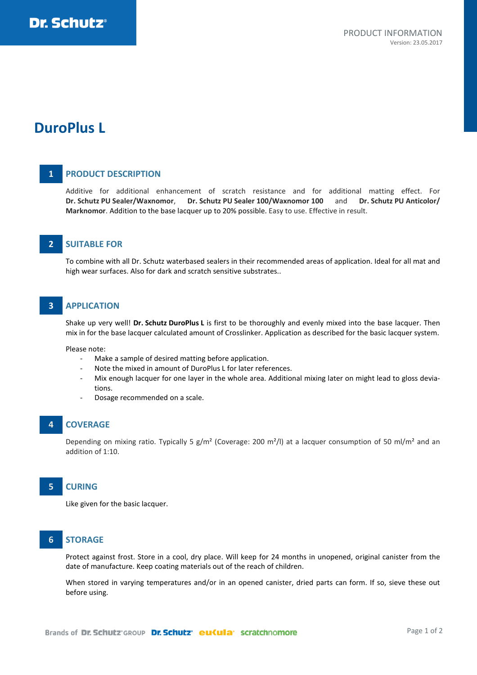# **DuroPlus L**

# **1 PRODUCT DESCRIPTION**

Additive for additional enhancement of scratch resistance and for additional matting effect. For **Dr. Schutz PU Sealer/Waxnomor**, **Dr. Schutz PU Sealer 100/Waxnomor 100** and **Dr. Schutz PU Anticolor/ Marknomor**. Addition to the base lacquer up to 20% possible. Easy to use. Effective in result.

# **2 SUITABLE FOR**

To combine with all Dr. Schutz waterbased sealers in their recommended areas of application. Ideal for all mat and high wear surfaces. Also for dark and scratch sensitive substrates..

### **3 APPLICATION**

Shake up very well! **Dr. Schutz DuroPlus L** is first to be thoroughly and evenly mixed into the base lacquer. Then mix in for the base lacquer calculated amount of Crosslinker. Application as described for the basic lacquer system.

Please note:

- Make a sample of desired matting before application.
- Note the mixed in amount of DuroPlus L for later references.
- Mix enough lacquer for one layer in the whole area. Additional mixing later on might lead to gloss deviations.
- Dosage recommended on a scale.

### **4 COVERAGE**

Depending on mixing ratio. Typically 5  $g/m^2$  (Coverage: 200 m<sup>2</sup>/l) at a lacquer consumption of 50 ml/m<sup>2</sup> and an addition of 1:10.

### **5 CURING**

Like given for the basic lacquer.

# **6 STORAGE**

Protect against frost. Store in a cool, dry place. Will keep for 24 months in unopened, original canister from the date of manufacture. Keep coating materials out of the reach of children.

When stored in varying temperatures and/or in an opened canister, dried parts can form. If so, sieve these out before using.